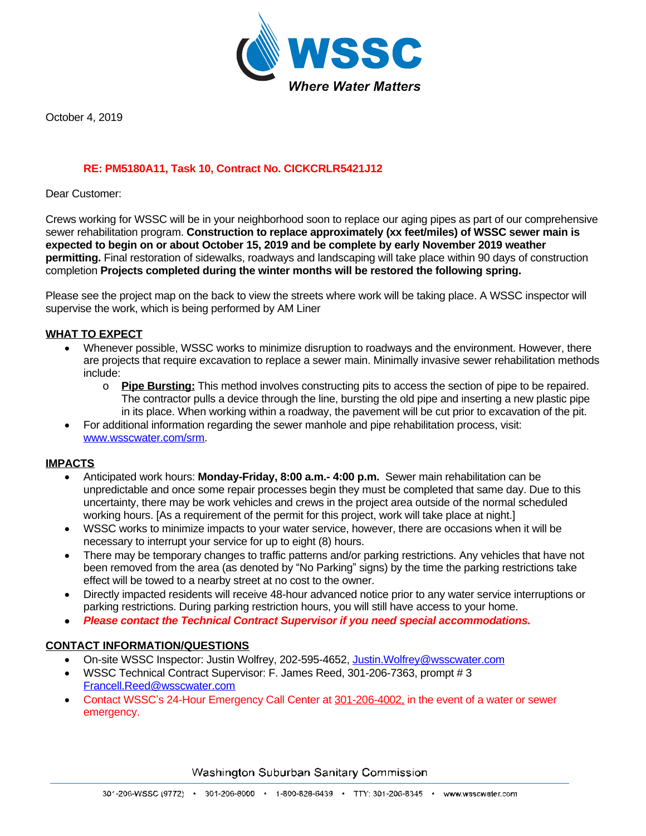

October 4, 2019

# **RE: PM5180A11, Task 10, Contract No. CICKCRLR5421J12**

Dear Customer:

Crews working for WSSC will be in your neighborhood soon to replace our aging pipes as part of our comprehensive sewer rehabilitation program. **Construction to replace approximately (xx feet/miles) of WSSC sewer main is expected to begin on or about October 15, 2019 and be complete by early November 2019 weather permitting.** Final restoration of sidewalks, roadways and landscaping will take place within 90 days of construction completion **Projects completed during the winter months will be restored the following spring.**

Please see the project map on the back to view the streets where work will be taking place. A WSSC inspector will supervise the work, which is being performed by AM Liner

## **WHAT TO EXPECT**

- Whenever possible, WSSC works to minimize disruption to roadways and the environment. However, there are projects that require excavation to replace a sewer main. Minimally invasive sewer rehabilitation methods include:
	- o **Pipe Bursting:** This method involves constructing pits to access the section of pipe to be repaired. The contractor pulls a device through the line, bursting the old pipe and inserting a new plastic pipe in its place. When working within a roadway, the pavement will be cut prior to excavation of the pit.
- For additional information regarding the sewer manhole and pipe rehabilitation process, visit: [www.wsscwater.com/srm.](C:\\Users\\aMcnair\\AppData\\Local\\Microsoft\\Windows\\Temporary Internet Files\\AppData\\Local\\Microsoft\\Windows\\Temporary Internet Files\\AppData\\Local\\Microsoft\\Windows\\Temporary Internet Files\\Content.Outlook\\U3ZQV6AU\\www.wsscwater.com\\srm)

#### **IMPACTS**

- Anticipated work hours: **Monday-Friday, 8:00 a.m.- 4:00 p.m.** Sewer main rehabilitation can be unpredictable and once some repair processes begin they must be completed that same day. Due to this uncertainty, there may be work vehicles and crews in the project area outside of the normal scheduled working hours. [As a requirement of the permit for this project, work will take place at night.]
- WSSC works to minimize impacts to your water service, however, there are occasions when it will be necessary to interrupt your service for up to eight (8) hours.
- There may be temporary changes to traffic patterns and/or parking restrictions. Any vehicles that have not been removed from the area (as denoted by "No Parking" signs) by the time the parking restrictions take effect will be towed to a nearby street at no cost to the owner.
- Directly impacted residents will receive 48-hour advanced notice prior to any water service interruptions or parking restrictions. During parking restriction hours, you will still have access to your home.
- *Please contact the Technical Contract Supervisor if you need special accommodations.*

#### **CONTACT INFORMATION/QUESTIONS**

- On-site WSSC Inspector: Justin Wolfrey, 202-595-4652, Justin. Wolfrey@wsscwater.com
- WSSC Technical Contract Supervisor: F. James Reed, 301-206-7363, prompt # 3 [Francell.Reed@wsscwater.com](mailto:Francell.Reed@wsscwater.com)
- Contact WSSC's 24-Hour Emergency Call Center at 301-206-4002, in the event of a water or sewer emergency.

Washington Suburban Sanitary Commission